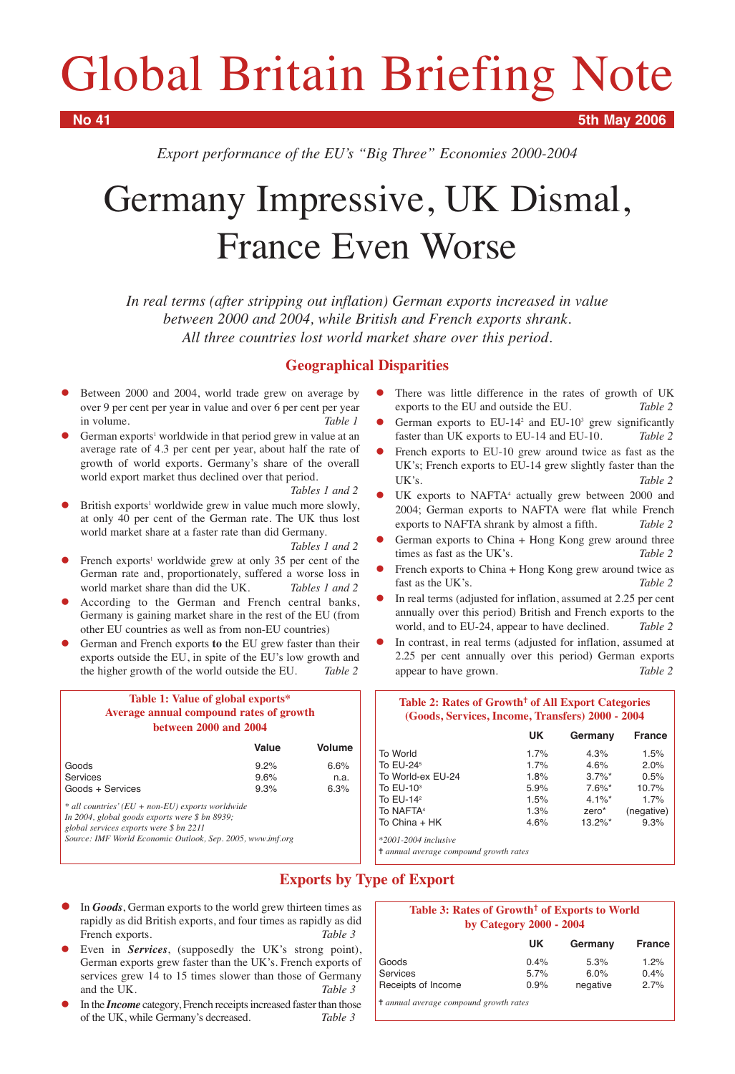# Global Britain Briefing Note

**No 41 5th May 2006**

*Export performance of the EU's "Big Three" Economies 2000-2004*

# Germany Impressive, UK Dismal, France Even Worse

*In real terms (after stripping out inflation) German exports increased in value between 2000 and 2004, while British and French exports shrank. All three countries lost world market share over this period.*

## **Geographical Disparities**

- $\bullet$  Between 2000 and 2004, world trade grew on average by over 9 per cent per year in value and over 6 per cent per year in volume. *Table 1*
- $\bullet$ German exports<sup>1</sup> worldwide in that period grew in value at an average rate of 4.3 per cent per year, about half the rate of growth of world exports. Germany's share of the overall world export market thus declined over that period.

*Tables 1 and 2*

 $\bullet$ British exports<sup>1</sup> worldwide grew in value much more slowly, at only 40 per cent of the German rate. The UK thus lost world market share at a faster rate than did Germany.

*Tables 1 and 2*

- $\bullet$ French exports<sup>1</sup> worldwide grew at only 35 per cent of the German rate and, proportionately, suffered a worse loss in world market share than did the UK. *Tables 1 and 2*
- $\bullet$  According to the German and French central banks, Germany is gaining market share in the rest of the EU (from other EU countries as well as from non-EU countries)
- $\bullet$  German and French exports **to** the EU grew faster than their exports outside the EU, in spite of the EU's low growth and the higher growth of the world outside the EU. *Table 2*

| Table 1: Value of global exports*       |         |
|-----------------------------------------|---------|
| Average annual compound rates of growth |         |
| between 2000 and 2004                   |         |
| 1/1.1.0                                 | Valting |

|                  | value | <u>volutile</u> |
|------------------|-------|-----------------|
| Goods            | 9.2%  | 6.6%            |
| Services         | 9.6%  | n.a.            |
| Goods + Services | 9.3%  | 6.3%            |
|                  |       |                 |

*\* all countries' (EU + non-EU) exports worldwide*

*In 2004, global goods exports were \$ bn 8939;* 

*global services exports were \$ bn 2211*

*Source: IMF World Economic Outlook, Sep. 2005, www.imf.org*

 $\bullet$  There was little difference in the rates of growth of UK exports to the EU and outside the EU. *Table 2*

- $\bullet$ German exports to  $EU-14^2$  and  $EU-10^3$  grew significantly faster than UK exports to EU-14 and EU-10. *Table 2*
- $\bullet$  French exports to EU-10 grew around twice as fast as the UK's; French exports to EU-14 grew slightly faster than the UK's. *Table 2*
- $\bullet$ UK exports to NAFTA<sup>4</sup> actually grew between 2000 and 2004; German exports to NAFTA were flat while French exports to NAFTA shrank by almost a fifth. *Table 2*
- $\bullet$  German exports to China + Hong Kong grew around three times as fast as the UK's. *Table 2*
- $\bullet$  French exports to China + Hong Kong grew around twice as fast as the UK's. Table 2
- $\bullet$  In real terms (adjusted for inflation, assumed at 2.25 per cent annually over this period) British and French exports to the world, and to EU-24, appear to have declined. *Table 2*
- $\bullet$  In contrast, in real terms (adjusted for inflation, assumed at 2.25 per cent annually over this period) German exports appear to have grown. *Table 2*

| Table 2: Rates of Growth <sup>†</sup> of All Export Categories<br>(Goods, Services, Income, Transfers) 2000 - 2004 |      |            |               |  |  |  |  |  |
|--------------------------------------------------------------------------------------------------------------------|------|------------|---------------|--|--|--|--|--|
|                                                                                                                    | UK   | Germany    | <b>France</b> |  |  |  |  |  |
| To World                                                                                                           | 1.7% | 4.3%       | 1.5%          |  |  |  |  |  |
| To EU-24 <sup>5</sup>                                                                                              | 1.7% | 4.6%       | 2.0%          |  |  |  |  |  |
| To World-ex EU-24                                                                                                  | 1.8% | $3.7\%$ *  | 0.5%          |  |  |  |  |  |
| To $EU-103$                                                                                                        | 5.9% | $7.6\%$ *  | 10.7%         |  |  |  |  |  |
| To $EU-142$                                                                                                        | 1.5% | $4.1\%$ *  | 1.7%          |  |  |  |  |  |
| To NAFTA <sup>4</sup>                                                                                              | 1.3% | zero*      | (negative)    |  |  |  |  |  |
| To China + HK                                                                                                      | 4.6% | $13.2\%$ * | 9.3%          |  |  |  |  |  |
| $*2001 - 2004$ inclusive                                                                                           |      |            |               |  |  |  |  |  |
| <sup>†</sup> annual average compound growth rates                                                                  |      |            |               |  |  |  |  |  |

# **Exports by Type of Export**

- $\bullet$  In *Goods*, German exports to the world grew thirteen times as rapidly as did British exports, and four times as rapidly as did French exports. Table 3
- $\bullet$  Even in *Services*, (supposedly the UK's strong point), German exports grew faster than the UK's. French exports of services grew 14 to 15 times slower than those of Germany and the UK. *Table 3*
- $\bullet$  In the *Income* category, French receipts increased faster than those of the UK, while Germany's decreased. *Table 3*

#### Table 3: Rates of Growth<sup>†</sup> of Exports to World **by Category 2000 - 2004**

|                    | UK      | Germany  | <b>France</b> |
|--------------------|---------|----------|---------------|
| Goods              | 0.4%    | 5.3%     | 1.2%          |
| <b>Services</b>    | $5.7\%$ | 6.0%     | 0.4%          |
| Receipts of Income | 0.9%    | negative | 2.7%          |

✝ *annual average compound growth rates*